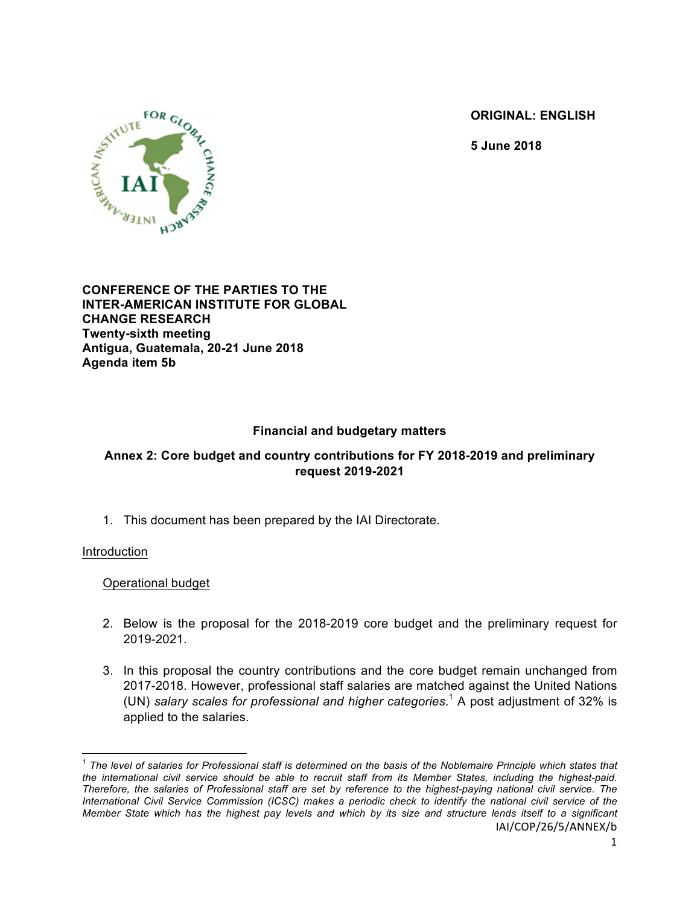**ORIGINAL: ENGLISH**

**5 June 2018**



## **CONFERENCE OF THE PARTIES TO THE INTER-AMERICAN INSTITUTE FOR GLOBAL CHANGE RESEARCH Twenty-sixth meeting Antigua, Guatemala, 20-21 June 2018 Agenda item 5b**

# **Financial and budgetary matters**

# **Annex 2: Core budget and country contributions for FY 2018-2019 and preliminary request 2019-2021**

1. This document has been prepared by the IAI Directorate.

## Introduction

Operational budget

- 2. Below is the proposal for the 2018-2019 core budget and the preliminary request for 2019-2021.
- 3. In this proposal the country contributions and the core budget remain unchanged from 2017-2018. However, professional staff salaries are matched against the United Nations (UN) *salary scales for professional and higher categories*. <sup>1</sup> A post adjustment of 32% is applied to the salaries.

IAI/COP/26/5/ANNEX/b <sup>1</sup> *The level of salaries for Professional staff is determined on the basis of the Noblemaire Principle which states that the international civil service should be able to recruit staff from its Member States, including the highest-paid. Therefore, the salaries of Professional staff are set by reference to the highest-paying national civil service. The International Civil Service Commission (ICSC) makes a periodic check to identify the national civil service of the Member State which has the highest pay levels and which by its size and structure lends itself to a significant*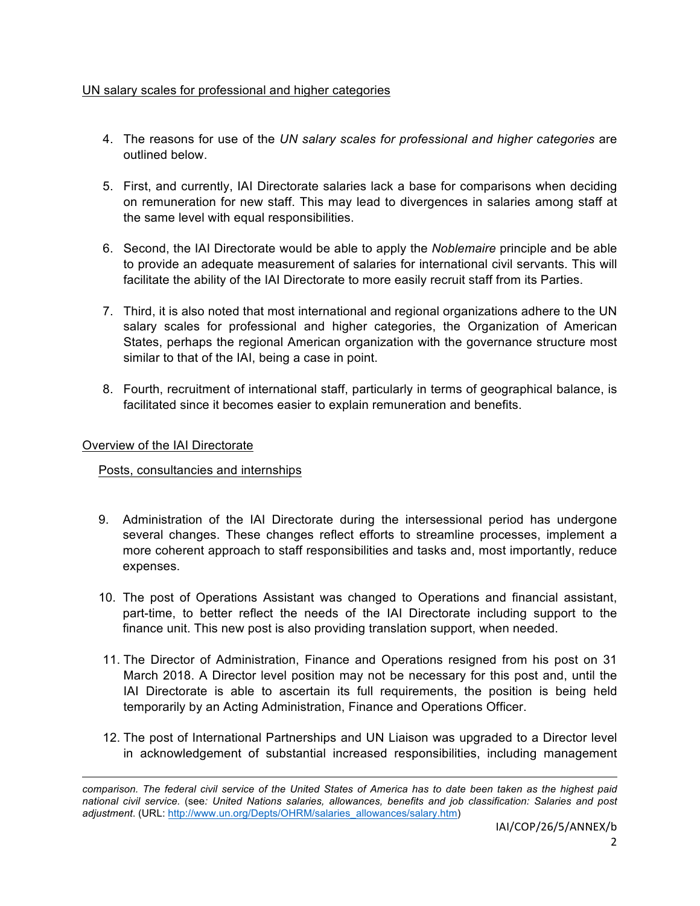## UN salary scales for professional and higher categories

- 4. The reasons for use of the *UN salary scales for professional and higher categories* are outlined below.
- 5. First, and currently, IAI Directorate salaries lack a base for comparisons when deciding on remuneration for new staff. This may lead to divergences in salaries among staff at the same level with equal responsibilities.
- 6. Second, the IAI Directorate would be able to apply the *Noblemaire* principle and be able to provide an adequate measurement of salaries for international civil servants. This will facilitate the ability of the IAI Directorate to more easily recruit staff from its Parties.
- 7. Third, it is also noted that most international and regional organizations adhere to the UN salary scales for professional and higher categories, the Organization of American States, perhaps the regional American organization with the governance structure most similar to that of the IAI, being a case in point.
- 8. Fourth, recruitment of international staff, particularly in terms of geographical balance, is facilitated since it becomes easier to explain remuneration and benefits.

## Overview of the IAI Directorate

## Posts, consultancies and internships

- 9. Administration of the IAI Directorate during the intersessional period has undergone several changes. These changes reflect efforts to streamline processes, implement a more coherent approach to staff responsibilities and tasks and, most importantly, reduce expenses.
- 10. The post of Operations Assistant was changed to Operations and financial assistant, part-time, to better reflect the needs of the IAI Directorate including support to the finance unit. This new post is also providing translation support, when needed.
- 11. The Director of Administration, Finance and Operations resigned from his post on 31 March 2018. A Director level position may not be necessary for this post and, until the IAI Directorate is able to ascertain its full requirements, the position is being held temporarily by an Acting Administration, Finance and Operations Officer.
- 12. The post of International Partnerships and UN Liaison was upgraded to a Director level in acknowledgement of substantial increased responsibilities, including management

<u> 1989 - Andrea Santa Andrea Andrea Andrea Andrea Andrea Andrea Andrea Andrea Andrea Andrea Andrea Andrea Andr</u>

*comparison. The federal civil service of the United States of America has to date been taken as the highest paid national civil service.* (see*: United Nations salaries, allowances, benefits and job classification: Salaries and post adjustment*. (URL: http://www.un.org/Depts/OHRM/salaries\_allowances/salary.htm)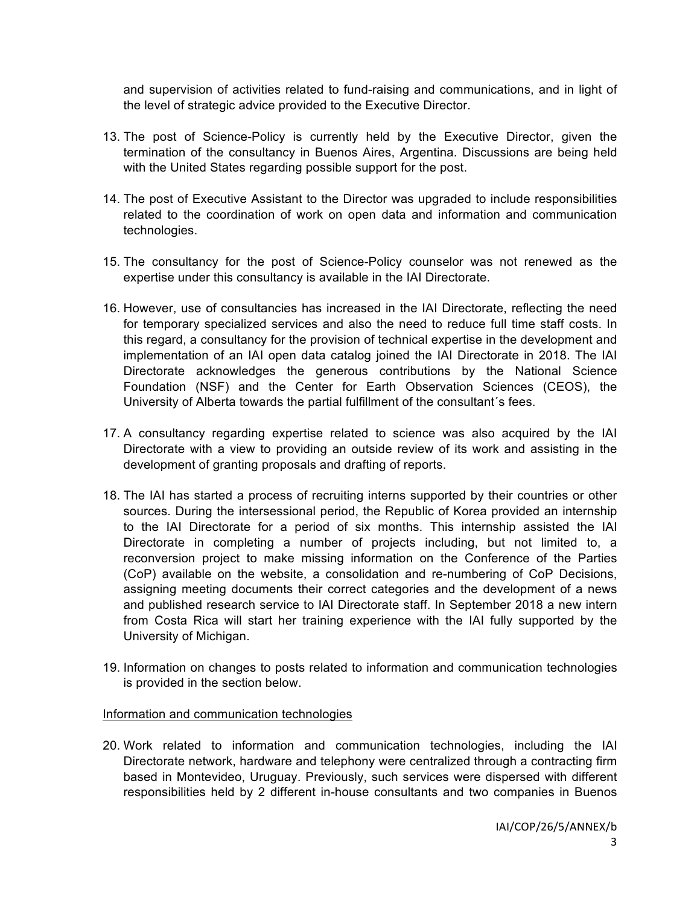and supervision of activities related to fund-raising and communications, and in light of the level of strategic advice provided to the Executive Director.

- 13. The post of Science-Policy is currently held by the Executive Director, given the termination of the consultancy in Buenos Aires, Argentina. Discussions are being held with the United States regarding possible support for the post.
- 14. The post of Executive Assistant to the Director was upgraded to include responsibilities related to the coordination of work on open data and information and communication technologies.
- 15. The consultancy for the post of Science-Policy counselor was not renewed as the expertise under this consultancy is available in the IAI Directorate.
- 16. However, use of consultancies has increased in the IAI Directorate, reflecting the need for temporary specialized services and also the need to reduce full time staff costs. In this regard, a consultancy for the provision of technical expertise in the development and implementation of an IAI open data catalog joined the IAI Directorate in 2018. The IAI Directorate acknowledges the generous contributions by the National Science Foundation (NSF) and the Center for Earth Observation Sciences (CEOS), the University of Alberta towards the partial fulfillment of the consultant´s fees.
- 17. A consultancy regarding expertise related to science was also acquired by the IAI Directorate with a view to providing an outside review of its work and assisting in the development of granting proposals and drafting of reports.
- 18. The IAI has started a process of recruiting interns supported by their countries or other sources. During the intersessional period, the Republic of Korea provided an internship to the IAI Directorate for a period of six months. This internship assisted the IAI Directorate in completing a number of projects including, but not limited to, a reconversion project to make missing information on the Conference of the Parties (CoP) available on the website, a consolidation and re-numbering of CoP Decisions, assigning meeting documents their correct categories and the development of a news and published research service to IAI Directorate staff. In September 2018 a new intern from Costa Rica will start her training experience with the IAI fully supported by the University of Michigan.
- 19. Information on changes to posts related to information and communication technologies is provided in the section below.

#### Information and communication technologies

20. Work related to information and communication technologies, including the IAI Directorate network, hardware and telephony were centralized through a contracting firm based in Montevideo, Uruguay. Previously, such services were dispersed with different responsibilities held by 2 different in-house consultants and two companies in Buenos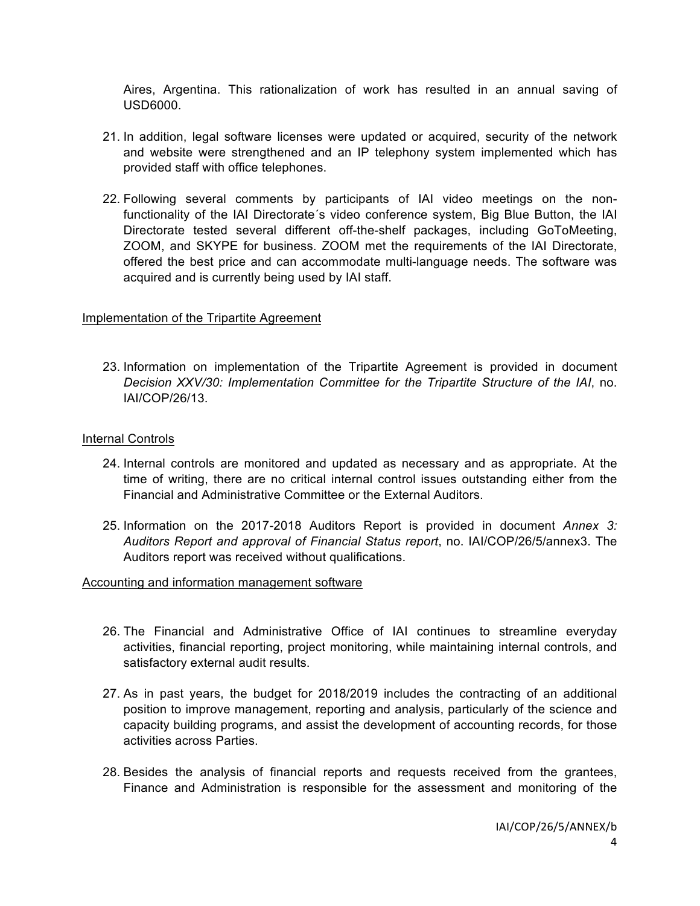Aires, Argentina. This rationalization of work has resulted in an annual saving of USD6000.

- 21. In addition, legal software licenses were updated or acquired, security of the network and website were strengthened and an IP telephony system implemented which has provided staff with office telephones.
- 22. Following several comments by participants of IAI video meetings on the nonfunctionality of the IAI Directorate´s video conference system, Big Blue Button, the IAI Directorate tested several different off-the-shelf packages, including GoToMeeting, ZOOM, and SKYPE for business. ZOOM met the requirements of the IAI Directorate, offered the best price and can accommodate multi-language needs. The software was acquired and is currently being used by IAI staff.

#### Implementation of the Tripartite Agreement

23. Information on implementation of the Tripartite Agreement is provided in document *Decision XXV/30: Implementation Committee for the Tripartite Structure of the IAI*, no. IAI/COP/26/13.

#### Internal Controls

- 24. Internal controls are monitored and updated as necessary and as appropriate. At the time of writing, there are no critical internal control issues outstanding either from the Financial and Administrative Committee or the External Auditors.
- 25. Information on the 2017-2018 Auditors Report is provided in document *Annex 3: Auditors Report and approval of Financial Status report*, no. IAI/COP/26/5/annex3. The Auditors report was received without qualifications.

#### Accounting and information management software

- 26. The Financial and Administrative Office of IAI continues to streamline everyday activities, financial reporting, project monitoring, while maintaining internal controls, and satisfactory external audit results.
- 27. As in past years, the budget for 2018/2019 includes the contracting of an additional position to improve management, reporting and analysis, particularly of the science and capacity building programs, and assist the development of accounting records, for those activities across Parties.
- 28. Besides the analysis of financial reports and requests received from the grantees, Finance and Administration is responsible for the assessment and monitoring of the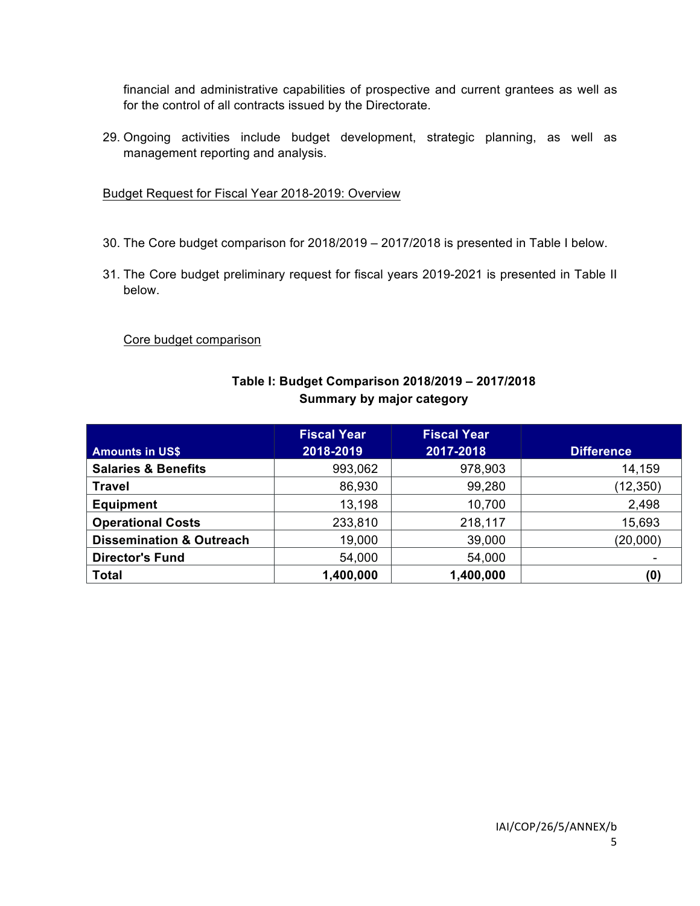financial and administrative capabilities of prospective and current grantees as well as for the control of all contracts issued by the Directorate.

29. Ongoing activities include budget development, strategic planning, as well as management reporting and analysis.

Budget Request for Fiscal Year 2018-2019: Overview

- 30. The Core budget comparison for 2018/2019 2017/2018 is presented in Table I below.
- 31. The Core budget preliminary request for fiscal years 2019-2021 is presented in Table II below.

## Core budget comparison

# **Table I: Budget Comparison 2018/2019 – 2017/2018 Summary by major category**

|                                     | <b>Fiscal Year</b> | <b>Fiscal Year</b> |                   |
|-------------------------------------|--------------------|--------------------|-------------------|
| <b>Amounts in US\$</b>              | 2018-2019          | 2017-2018          | <b>Difference</b> |
| <b>Salaries &amp; Benefits</b>      | 993,062            | 978,903            | 14,159            |
| <b>Travel</b>                       | 86,930             | 99,280             | (12, 350)         |
| <b>Equipment</b>                    | 13,198             | 10,700             | 2,498             |
| <b>Operational Costs</b>            | 233,810            | 218,117            | 15,693            |
| <b>Dissemination &amp; Outreach</b> | 19,000             | 39,000             | (20,000)          |
| <b>Director's Fund</b>              | 54,000             | 54,000             |                   |
| <b>Total</b>                        | 1,400,000          | 1,400,000          | (0)               |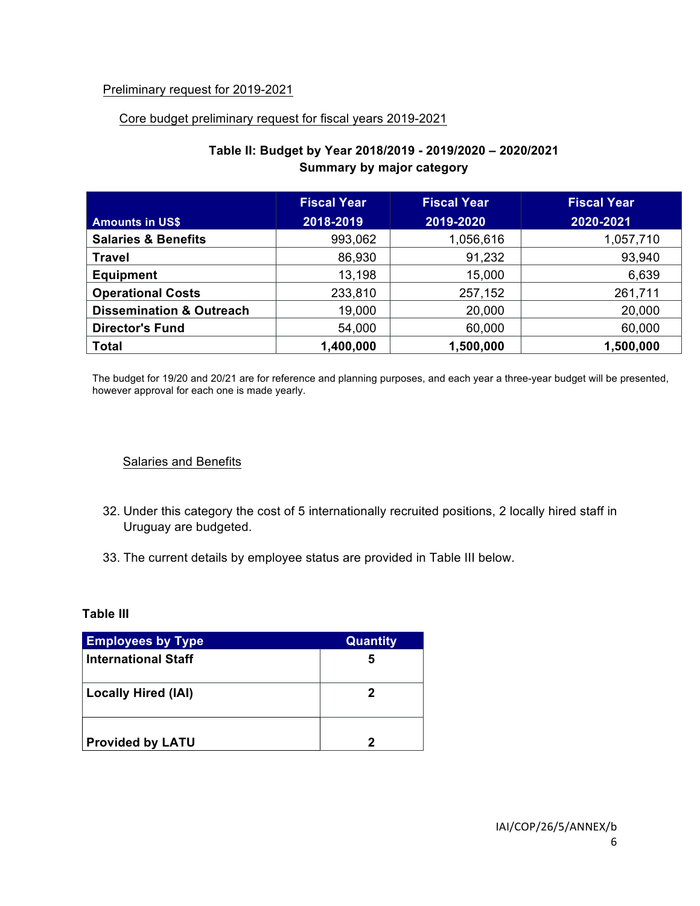## Preliminary request for 2019-2021

#### Core budget preliminary request for fiscal years 2019-2021

|                                     | <b>Fiscal Year</b> | <b>Fiscal Year</b> | <b>Fiscal Year</b> |
|-------------------------------------|--------------------|--------------------|--------------------|
| <b>Amounts in US\$</b>              | 2018-2019          | 2019-2020          | 2020-2021          |
| <b>Salaries &amp; Benefits</b>      | 993,062            | 1,056,616          | 1,057,710          |
| <b>Travel</b>                       | 86,930             | 91,232             | 93,940             |
| <b>Equipment</b>                    | 13,198             | 15,000             | 6,639              |
| <b>Operational Costs</b>            | 233,810            | 257,152            | 261,711            |
| <b>Dissemination &amp; Outreach</b> | 19,000             | 20,000             | 20,000             |
| <b>Director's Fund</b>              | 54,000             | 60,000             | 60,000             |
| <b>Total</b>                        | 1,400,000          | 1,500,000          | 1,500,000          |

# **Table II: Budget by Year 2018/2019 - 2019/2020 – 2020/2021 Summary by major category**

The budget for 19/20 and 20/21 are for reference and planning purposes, and each year a three-year budget will be presented, however approval for each one is made yearly.

#### Salaries and Benefits

- 32. Under this category the cost of 5 internationally recruited positions, 2 locally hired staff in Uruguay are budgeted.
- 33. The current details by employee status are provided in Table III below.

**Table III**

| <b>Employees by Type</b>   | <b>Quantity</b> |
|----------------------------|-----------------|
| <b>International Staff</b> | 5               |
| <b>Locally Hired (IAI)</b> | 2               |
| <b>Provided by LATU</b>    | 2               |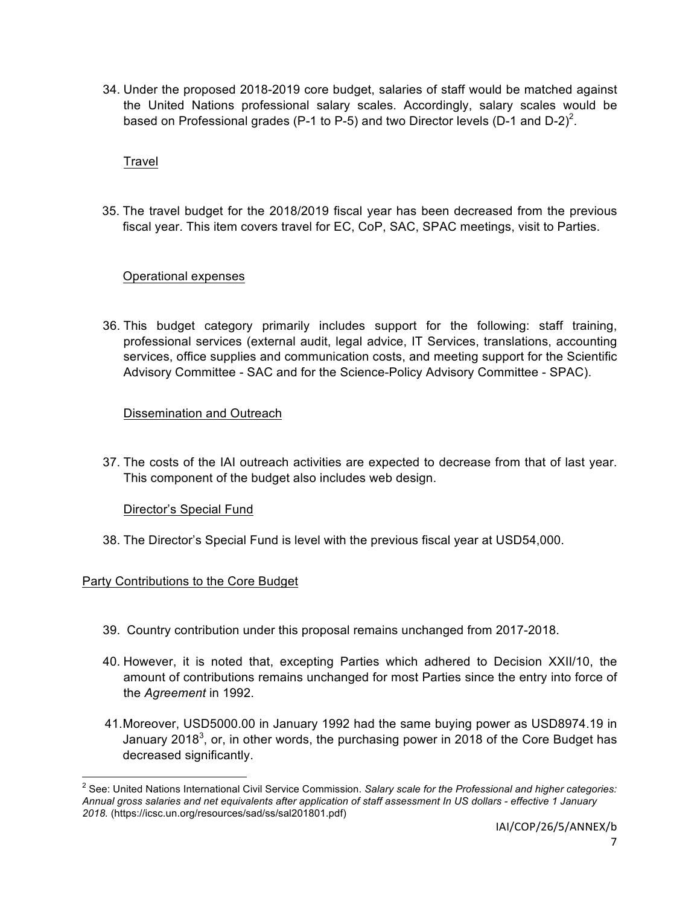34. Under the proposed 2018-2019 core budget, salaries of staff would be matched against the United Nations professional salary scales. Accordingly, salary scales would be based on Professional grades (P-1 to P-5) and two Director levels (D-1 and D-2)<sup>2</sup>.

## **Travel**

35. The travel budget for the 2018/2019 fiscal year has been decreased from the previous fiscal year. This item covers travel for EC, CoP, SAC, SPAC meetings, visit to Parties.

## Operational expenses

36. This budget category primarily includes support for the following: staff training, professional services (external audit, legal advice, IT Services, translations, accounting services, office supplies and communication costs, and meeting support for the Scientific Advisory Committee - SAC and for the Science-Policy Advisory Committee - SPAC).

## Dissemination and Outreach

37. The costs of the IAI outreach activities are expected to decrease from that of last year. This component of the budget also includes web design.

Director's Special Fund

38. The Director's Special Fund is level with the previous fiscal year at USD54,000.

## Party Contributions to the Core Budget

- 39. Country contribution under this proposal remains unchanged from 2017-2018.
- 40. However, it is noted that, excepting Parties which adhered to Decision XXII/10, the amount of contributions remains unchanged for most Parties since the entry into force of the *Agreement* in 1992.
- 41.Moreover, USD5000.00 in January 1992 had the same buying power as USD8974.19 in January 2018<sup>3</sup>, or, in other words, the purchasing power in 2018 of the Core Budget has decreased significantly.

 <sup>2</sup> See: United Nations International Civil Service Commission. *Salary scale for the Professional and higher categories: Annual gross salaries and net equivalents after application of staff assessment In US dollars - effective 1 January 2018.* (https://icsc.un.org/resources/sad/ss/sal201801.pdf)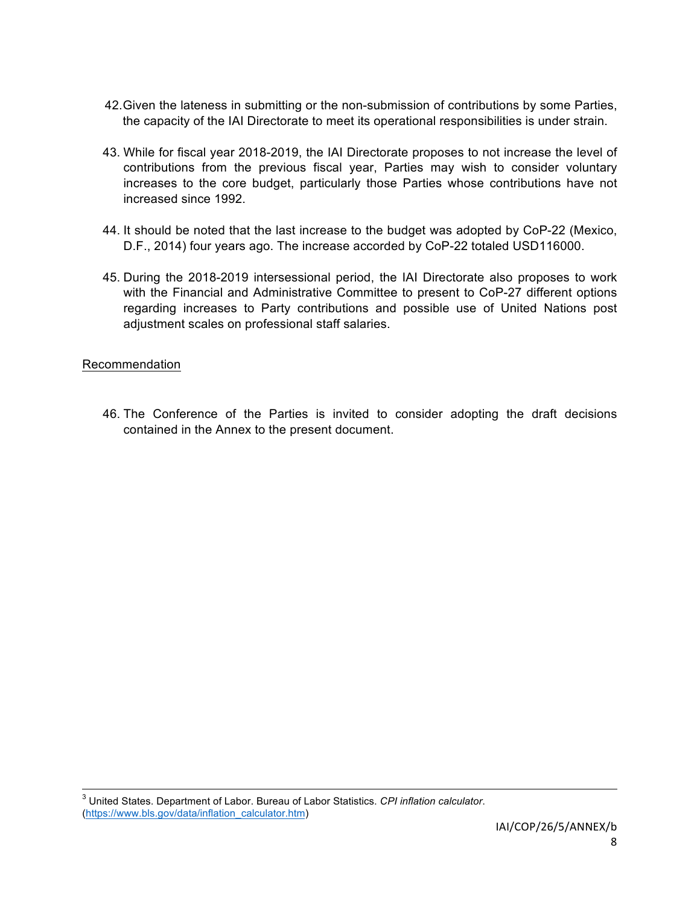- 42.Given the lateness in submitting or the non-submission of contributions by some Parties, the capacity of the IAI Directorate to meet its operational responsibilities is under strain.
- 43. While for fiscal year 2018-2019, the IAI Directorate proposes to not increase the level of contributions from the previous fiscal year, Parties may wish to consider voluntary increases to the core budget, particularly those Parties whose contributions have not increased since 1992.
- 44. It should be noted that the last increase to the budget was adopted by CoP-22 (Mexico, D.F., 2014) four years ago. The increase accorded by CoP-22 totaled USD116000.
- 45. During the 2018-2019 intersessional period, the IAI Directorate also proposes to work with the Financial and Administrative Committee to present to CoP-27 different options regarding increases to Party contributions and possible use of United Nations post adjustment scales on professional staff salaries.

## Recommendation

46. The Conference of the Parties is invited to consider adopting the draft decisions contained in the Annex to the present document.

 <sup>3</sup> United States. Department of Labor. Bureau of Labor Statistics. *CPI inflation calculator*. (https://www.bls.gov/data/inflation\_calculator.htm)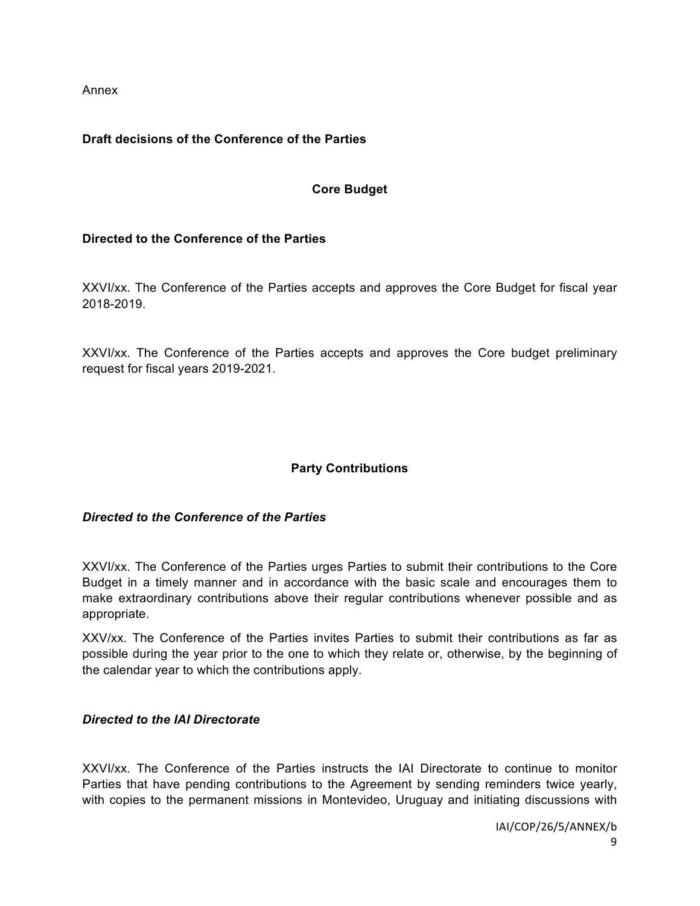Annex

## **Draft decisions of the Conference of the Parties**

## **Core Budget**

## **Directed to the Conference of the Parties**

XXVI/xx. The Conference of the Parties accepts and approves the Core Budget for fiscal year 2018-2019.

XXVI/xx. The Conference of the Parties accepts and approves the Core budget preliminary request for fiscal years 2019-2021.

# **Party Contributions**

## *Directed to the Conference of the Parties*

XXVI/xx. The Conference of the Parties urges Parties to submit their contributions to the Core Budget in a timely manner and in accordance with the basic scale and encourages them to make extraordinary contributions above their regular contributions whenever possible and as appropriate.

XXV/xx. The Conference of the Parties invites Parties to submit their contributions as far as possible during the year prior to the one to which they relate or, otherwise, by the beginning of the calendar year to which the contributions apply.

## *Directed to the IAI Directorate*

XXVI/xx. The Conference of the Parties instructs the IAI Directorate to continue to monitor Parties that have pending contributions to the Agreement by sending reminders twice yearly, with copies to the permanent missions in Montevideo, Uruguay and initiating discussions with